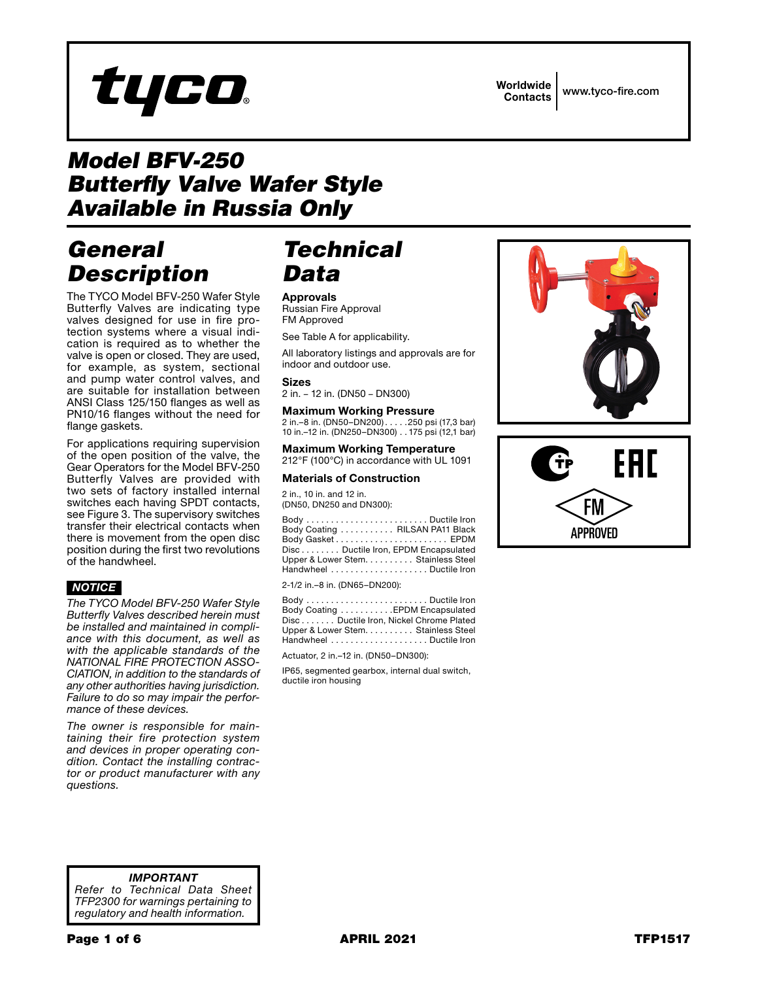# tyco

Worldwide Contacts www.tyco-fire.com

# *Model BFV-250 Butterfly Valve Wafer Style Available in Russia Only*

## *General Description*

The TYCO Model BFV-250 Wafer Style Butterfly Valves are indicating type valves designed for use in fire protection systems where a visual indication is required as to whether the valve is open or closed. They are used, for example, as system, sectional and pump water control valves, and are suitable for installation between ANSI Class 125/150 flanges as well as PN10/16 flanges without the need for flange gaskets.

For applications requiring supervision of the open position of the valve, the Gear Operators for the Model BFV-250 Butterfly Valves are provided with two sets of factory installed internal switches each having SPDT contacts, see Figure 3. The supervisory switches transfer their electrical contacts when there is movement from the open disc position during the first two revolutions of the handwheel.

### *NOTICE*

*The TYCO Model BFV-250 Wafer Style Butterfly Valves described herein must be installed and maintained in compliance with this document, as well as with the applicable standards of the NATIONAL FIRE PROTECTION ASSO-CIATION, in addition to the standards of any other authorities having jurisdiction. Failure to do so may impair the performance of these devices.*

*The owner is responsible for maintaining their fire protection system and devices in proper operating condition. Contact the installing contractor or product manufacturer with any questions.*

## *Technical Data*

Approvals Russian Fire Approval FM Approved

See Table A for applicability.

All laboratory listings and approvals are for indoor and outdoor use.

#### Sizes

2 in. – 12 in. (DN50 – DN300)

#### Maximum Working Pressure

2 in.–8 in. (DN50–DN200). . 250 psi (17,3 bar) 10 in.–12 in. (DN250–DN300). . 175 psi (12,1 bar)

Maximum Working Temperature 212°F (100°C) in accordance with UL 1091

#### Materials of Construction

2 in., 10 in. and 12 in. (DN50, DN250 and DN300):

Body . . . . . . . . . . . . . . . . . . . . . . . . . Ductile Iron Body Coating . . . . . . . . . . . RILSAN PA11 Black Body Gasket . . . . . . . . . . . . . . . . . . . . . . . EPDM Disc........ Ductile Iron, EPDM Encapsulated Upper & Lower Stem. . . . . . . . . . Stainless Steel Handwheel . . . . . . . . . . . . . . . . . . . . Ductile Iron

2-1/2 in.–8 in. (DN65–DN200):

Body . . . . . . . . . . . . . . . . . . . . . . . . . Ductile Iron Body Coating . . . . . . . . . . . . EPDM Encapsulated Disc. . . . . . . Ductile Iron, Nickel Chrome Plated Upper & Lower Stem. . . . . . . . . Stainless Steel Handwheel . . . . . . . . . . . . . . . . . . . . Ductile Iron

Actuator, 2 in.–12 in. (DN50–DN300):

IP65, segmented gearbox, internal dual switch, ductile iron housing





*IMPORTANT Refer to Technical Data Sheet TFP2300 for warnings pertaining to regulatory and health information.*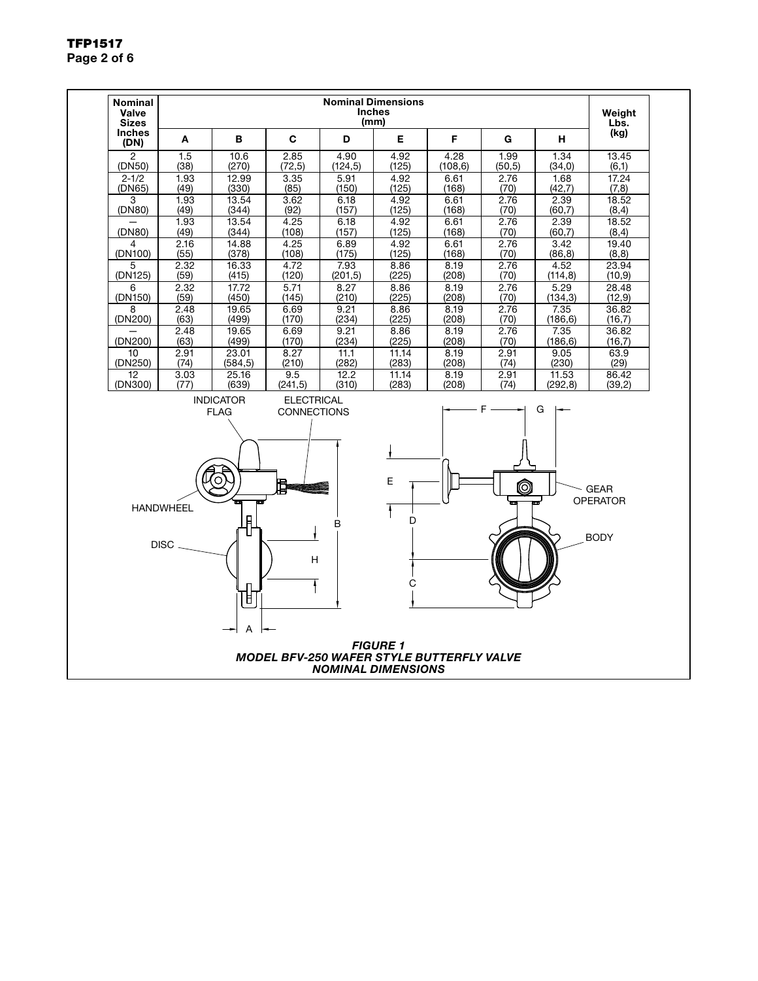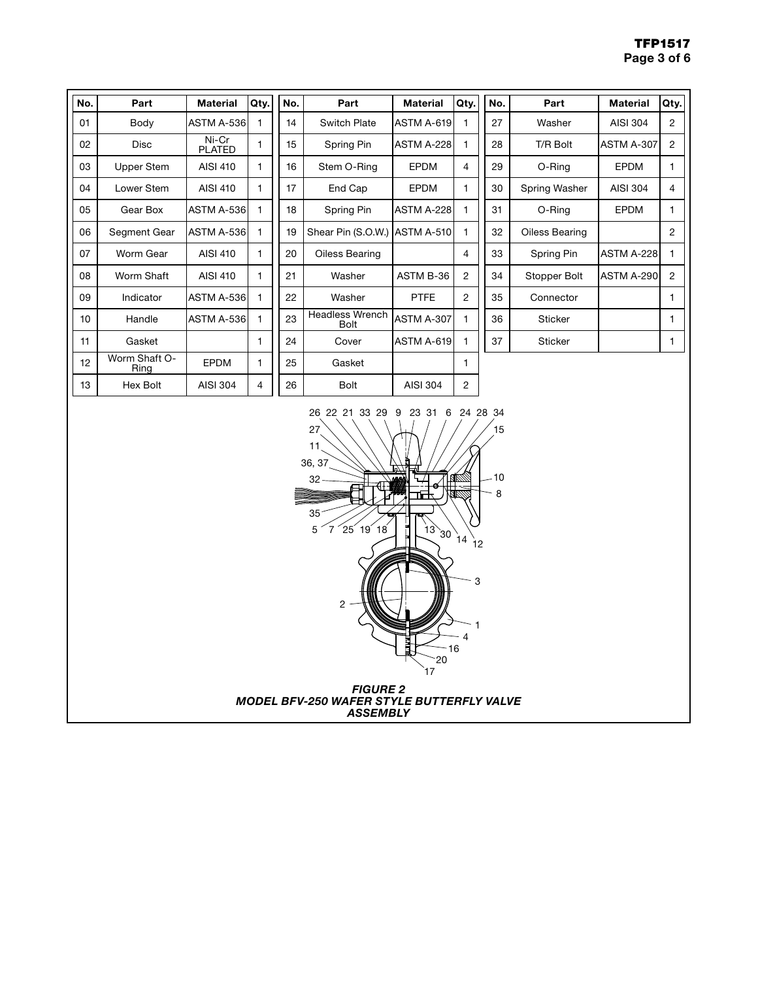| No. | Part                  | <b>Material</b>        | Qty. | No. | Part                           | <b>Material</b>   | Qty.           | No. | Part           | <b>Material</b>   | Qty.           |
|-----|-----------------------|------------------------|------|-----|--------------------------------|-------------------|----------------|-----|----------------|-------------------|----------------|
| 01  | Body                  | ASTM A-536             |      | 14  | <b>Switch Plate</b>            | ASTM A-619        | 1              | 27  | Washer         | AISI 304          | 2              |
| 02  | <b>Disc</b>           | Ni-Cr<br><b>PLATED</b> |      | 15  | Spring Pin                     | <b>ASTM A-228</b> | 1              | 28  | T/R Bolt       | ASTM A-307        | $\overline{2}$ |
| 03  | Upper Stem            | AISI 410               |      | 16  | Stem O-Ring                    | <b>EPDM</b>       | 4              | 29  | O-Ring         | <b>EPDM</b>       |                |
| 04  | Lower Stem            | AISI 410               |      | 17  | End Cap                        | <b>EPDM</b>       | 1              | 30  | Spring Washer  | AISI 304          | 4              |
| 05  | Gear Box              | ASTM A-536             |      | 18  | Spring Pin                     | <b>ASTM A-228</b> | 1              | 31  | O-Ring         | <b>EPDM</b>       |                |
| 06  | Segment Gear          | ASTM A-536             |      | 19  | Shear Pin (S.O.W.)             | <b>ASTM A-510</b> | 1              | 32  | Oiless Bearing |                   | 2              |
| 07  | Worm Gear             | AISI 410               |      | 20  | Oiless Bearing                 |                   | 4              | 33  | Spring Pin     | <b>ASTM A-228</b> |                |
| 08  | Worm Shaft            | AISI 410               | 1    | 21  | Washer                         | ASTM B-36         | $\overline{2}$ | 34  | Stopper Bolt   | ASTM A-290        | $\overline{2}$ |
| 09  | Indicator             | ASTM A-536             |      | 22  | Washer                         | <b>PTFE</b>       | $\overline{2}$ | 35  | Connector      |                   |                |
| 10  | Handle                | ASTM A-536             |      | 23  | Headless Wrench<br><b>Bolt</b> | ASTM A-307        | 1              | 36  | <b>Sticker</b> |                   |                |
| 11  | Gasket                |                        |      | 24  | Cover                          | ASTM A-619        | 1              | 37  | <b>Sticker</b> |                   |                |
| 12  | Worm Shaft O-<br>Ring | <b>EPDM</b>            | 1    | 25  | Gasket                         |                   | 1              |     |                |                   |                |
| 13  | Hex Bolt              | AISI 304               | 4    | 26  | <b>Bolt</b>                    | AISI 304          | $\overline{2}$ |     |                |                   |                |

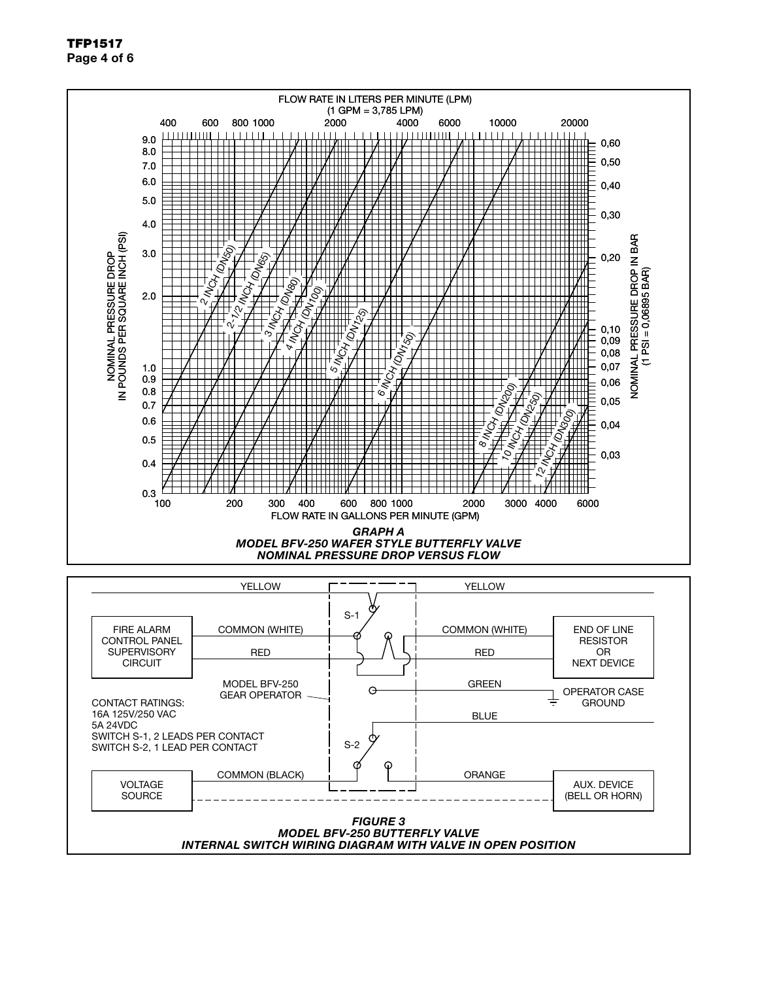Page 4 of 6





TFP1517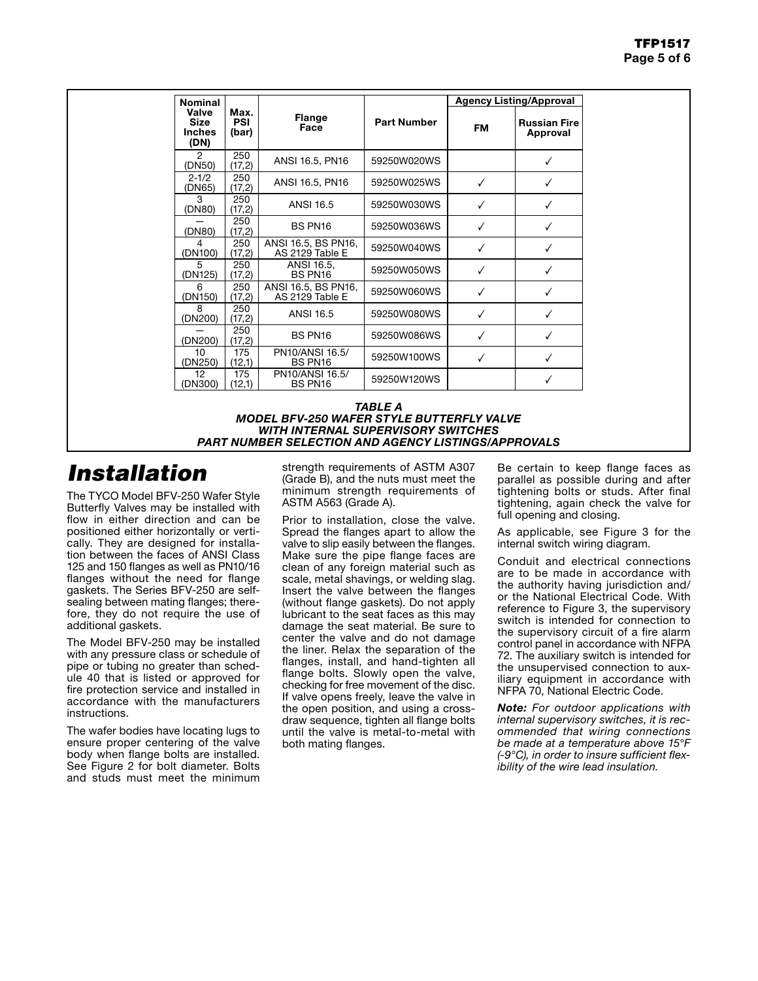| <b>Nominal</b>                                |                             |                                        |                    | <b>Agency Listing/Approval</b> |                                 |  |
|-----------------------------------------------|-----------------------------|----------------------------------------|--------------------|--------------------------------|---------------------------------|--|
| Valve<br><b>Size</b><br><b>Inches</b><br>(DN) | Max.<br><b>PSI</b><br>(bar) | <b>Flange</b><br>Face                  | <b>Part Number</b> | FM                             | <b>Russian Fire</b><br>Approval |  |
| 2<br>(DN50)                                   | 250<br>(17,2)               | ANSI 16.5, PN16                        | 59250W020WS        |                                |                                 |  |
| $2 - 1/2$<br>(DN65)                           | 250<br>(17,2)               | ANSI 16.5, PN16                        | 59250W025WS        | ✓                              |                                 |  |
| 3<br>(DN80)                                   | 250<br>(17,2)               | ANSI 16.5                              | 59250W030WS        | ✓                              |                                 |  |
| (DN80)                                        | 250<br>(17,2)               | BS PN16                                | 59250W036WS        |                                |                                 |  |
| 4<br>(DN100)                                  | 250<br>(17,2)               | ANSI 16.5, BS PN16,<br>AS 2129 Table E | 59250W040WS        | ✓                              |                                 |  |
| 5<br>(DN125)                                  | 250<br>(17,2)               | ANSI 16.5,<br>BS PN16                  | 59250W050WS        | ✓                              |                                 |  |
| 6<br>(DN150)                                  | 250<br>(17,2)               | ANSI 16.5, BS PN16,<br>AS 2129 Table E | 59250W060WS        |                                |                                 |  |
| 8<br>(DN200)                                  | 250<br>(17,2)               | <b>ANSI 16.5</b>                       | 59250W080WS        | ✓                              |                                 |  |
| (DN200)                                       | 250<br>(17,2)               | BS PN16                                | 59250W086WS        |                                |                                 |  |
| 10<br>(DN250)                                 | 175<br>(12,1)               | PN10/ANSI 16.5/<br>BS PN16             | 59250W100WS        |                                |                                 |  |
| 12<br>(DN300)                                 | 175<br>(12,1)               | PN10/ANSI 16.5/<br>BS PN16             | 59250W120WS        |                                |                                 |  |

#### *TABLE A MODEL BFV-250 WAFER STYLE BUTTERFLY VALVE WITH INTERNAL SUPERVISORY SWITCHES PART NUMBER SELECTION AND AGENCY LISTINGS/APPROVALS*

## *Installation*

The TYCO Model BFV-250 Wafer Style Butterfly Valves may be installed with flow in either direction and can be positioned either horizontally or vertically. They are designed for installation between the faces of ANSI Class 125 and 150 flanges as well as PN10/16 flanges without the need for flange gaskets. The Series BFV-250 are selfsealing between mating flanges; therefore, they do not require the use of additional gaskets.

The Model BFV-250 may be installed with any pressure class or schedule of pipe or tubing no greater than schedule 40 that is listed or approved for fire protection service and installed in accordance with the manufacturers instructions.

The wafer bodies have locating lugs to ensure proper centering of the valve body when flange bolts are installed. See Figure 2 for bolt diameter. Bolts and studs must meet the minimum

strength requirements of ASTM A307 (Grade B), and the nuts must meet the minimum strength requirements of ASTM A563 (Grade A).

Prior to installation, close the valve. Spread the flanges apart to allow the valve to slip easily between the flanges. Make sure the pipe flange faces are clean of any foreign material such as scale, metal shavings, or welding slag. Insert the valve between the flanges (without flange gaskets). Do not apply lubricant to the seat faces as this may damage the seat material. Be sure to center the valve and do not damage the liner. Relax the separation of the flanges, install, and hand-tighten all flange bolts. Slowly open the valve, checking for free movement of the disc. If valve opens freely, leave the valve in the open position, and using a crossdraw sequence, tighten all flange bolts until the valve is metal-to-metal with both mating flanges.

Be certain to keep flange faces as parallel as possible during and after tightening bolts or studs. After final tightening, again check the valve for full opening and closing.

As applicable, see Figure 3 for the internal switch wiring diagram.

Conduit and electrical connections are to be made in accordance with the authority having jurisdiction and/ or the National Electrical Code. With reference to Figure 3, the supervisory switch is intended for connection to the supervisory circuit of a fire alarm control panel in accordance with NFPA 72. The auxiliary switch is intended for the unsupervised connection to auxiliary equipment in accordance with NFPA 70, National Electric Code.

*Note: For outdoor applications with internal supervisory switches, it is recommended that wiring connections be made at a temperature above 15°F (-9°C), in order to insure sufficient flexibility of the wire lead insulation.*